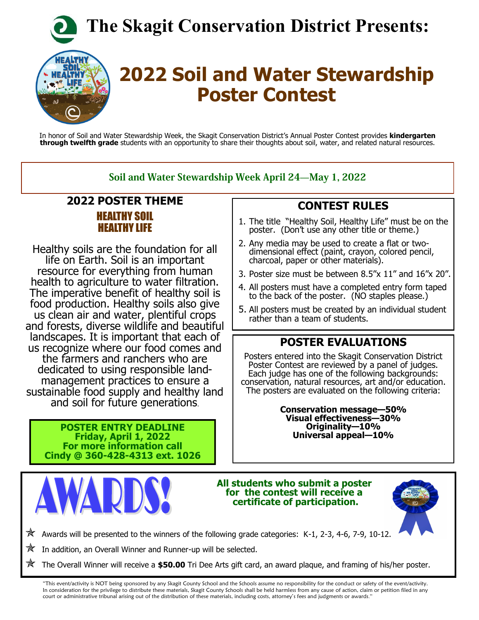**The Skagit Conservation District Presents:**



# **2022 Soil and Water Stewardship Poster Contest**

In honor of Soil and Water Stewardship Week, the Skagit Conservation District's Annual Poster Contest provides **kindergarten through twelfth grade** students with an opportunity to share their thoughts about soil, water, and related natural resources.

#### Soil and Water Stewardship Week April 24-May 1, 2022

#### **2022 POSTER THEME** HEALTHY SOIL HEALTHY LIFE

Healthy soils are the foundation for all life on Earth. Soil is an important resource for everything from human health to agriculture to water filtration. The imperative benefit of healthy soil is food production. Healthy soils also give us clean air and water, plentiful crops and forests, diverse wildlife and beautiful landscapes. It is important that each of us recognize where our food comes and the farmers and ranchers who are dedicated to using responsible landmanagement practices to ensure a sustainable food supply and healthy land and soil for future generations.

**POSTER ENTRY DEADLINE Friday, April 1, 2022 For more information call Cindy @ 360-428-4313 ext. 1026**



**All students who submit a poster for the contest will receive a certificate of participation.** 



 $\mathbb{X}$  Awards will be presented to the winners of the following grade categories: K-1, 2-3, 4-6, 7-9, 10-12.

In addition, an Overall Winner and Runner-up will be selected.

The Overall Winner will receive a **\$50.00** Tri Dee Arts gift card, an award plaque, and framing of his/her poster.

"This event/activity is NOT being sponsored by any Skagit County School and the Schools assume no responsibility for the conduct or safety of the event/activity. In consideration for the privilege to distribute these materials, Skagit County Schools shall be held harmless from any cause of action, claim or petition filed in any court or administrative tribunal arising out of the distribution of these materials, including costs, attorney's fees and judgments or awards."

### **CONTEST RULES**

- 1. The title "Healthy Soil, Healthy Life" must be on the poster. (Don't use any other title or theme.)
- 2. Any media may be used to create a flat or twodimensional effect (paint, crayon, colored pencil, charcoal, paper or other materials).
- 3. Poster size must be between 8.5"x 11" and 16"x 20".
- 4. All posters must have a completed entry form taped to the back of the poster. (NO staples please.)
- 5. All posters must be created by an individual student rather than a team of students.

### **POSTER EVALUATIONS**

Posters entered into the Skagit Conservation District Poster Contest are reviewed by a panel of judges. Each judge has one of the following backgrounds: conservation, natural resources, art and/or education. The posters are evaluated on the following criteria:

> **Conservation message—50% Visual effectiveness—30% Originality—10% Universal appeal—10%**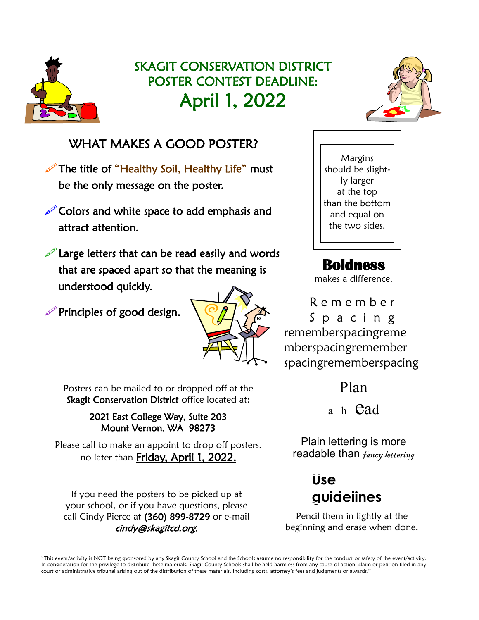

# SKAGIT CONSERVATION DISTRICT POSTER CONTEST DEADLINE: April 1, 2022

### WHAT MAKES A GOOD POSTER?

The title of "Healthy Soil, Healthy Life" must be the only message on the poster.

Colors and white space to add emphasis and attract attention.

Large letters that can be read easily and words that are spaced apart so that the meaning is understood quickly.

Principles of good design.



Posters can be mailed to or dropped off at the Skagit Conservation District office located at:

#### 2021 East College Way, Suite 203 Mount Vernon, WA 98273

Please call to make an appoint to drop off posters. no later than Friday, April 1, 2022.

If you need the posters to be picked up at your school, or if you have questions, please call Cindy Pierce at (360) 899-8729 or e-mail cindy@skagitcd.org.



Margins should be slightly larger at the top than the bottom and equal on the two sides.

## **Boldness**

makes a difference.

R e m e m b e r S p a c i n g rememberspacingreme mberspacingremember spacingrememberspacing

Plan

a h **Cad** 

Plain lettering is more readable than *fancy lettering* 

# **Use guidelines**

Pencil them in lightly at the beginning and erase when done.

"This event/activity is NOT being sponsored by any Skagit County School and the Schools assume no responsibility for the conduct or safety of the event/activity. In consideration for the privilege to distribute these materials, Skagit County Schools shall be held harmless from any cause of action, claim or petition filed in any court or administrative tribunal arising out of the distribution of these materials, including costs, attorney's fees and judgments or awards."